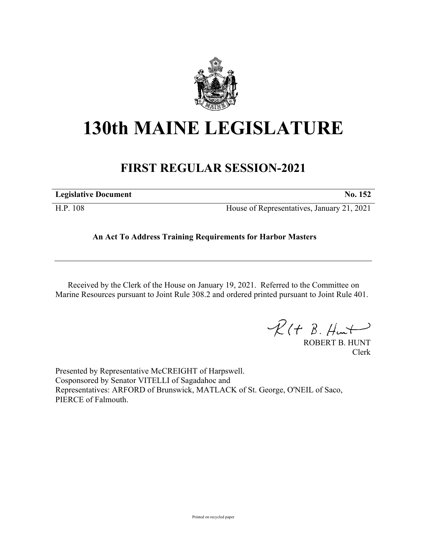

## **130th MAINE LEGISLATURE**

## **FIRST REGULAR SESSION-2021**

| <b>Legislative Document</b> | No. 152                                    |
|-----------------------------|--------------------------------------------|
| H.P. 108                    | House of Representatives, January 21, 2021 |

**An Act To Address Training Requirements for Harbor Masters**

Received by the Clerk of the House on January 19, 2021. Referred to the Committee on Marine Resources pursuant to Joint Rule 308.2 and ordered printed pursuant to Joint Rule 401.

 $R(t B. Hmt)$ 

ROBERT B. HUNT Clerk

Presented by Representative McCREIGHT of Harpswell. Cosponsored by Senator VITELLI of Sagadahoc and Representatives: ARFORD of Brunswick, MATLACK of St. George, O'NEIL of Saco, PIERCE of Falmouth.